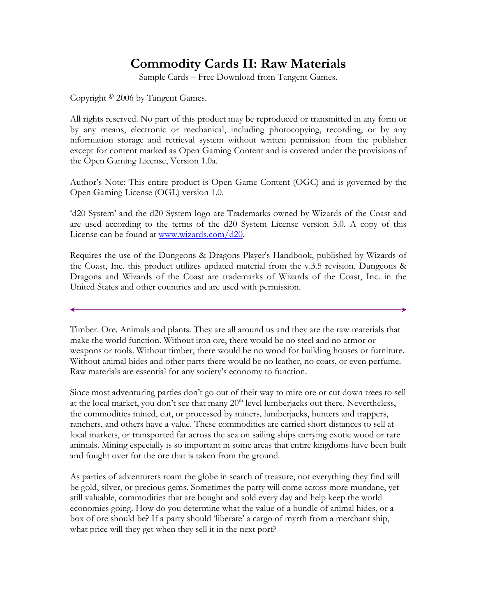# **Commodity Cards II: Raw Materials**

Sample Cards – Free Download from Tangent Games.

Copyright <sup>©</sup> 2006 by Tangent Games.

All rights reserved. No part of this product may be reproduced or transmitted in any form or by any means, electronic or mechanical, including photocopying, recording, or by any information storage and retrieval system without written permission from the publisher except for content marked as Open Gaming Content and is covered under the provisions of the Open Gaming License, Version 1.0a.

Author's Note: This entire product is Open Game Content (OGC) and is governed by the Open Gaming License (OGL) version 1.0.

'd20 System' and the d20 System logo are Trademarks owned by Wizards of the Coast and are used according to the terms of the d20 System License version 5.0. A copy of this License can be found at www.wizards.com/d20.

Requires the use of the Dungeons & Dragons Player's Handbook, published by Wizards of the Coast, Inc. this product utilizes updated material from the v.3.5 revision. Dungeons & Dragons and Wizards of the Coast are trademarks of Wizards of the Coast, Inc. in the United States and other countries and are used with permission.

Timber. Ore. Animals and plants. They are all around us and they are the raw materials that make the world function. Without iron ore, there would be no steel and no armor or weapons or tools. Without timber, there would be no wood for building houses or furniture. Without animal hides and other parts there would be no leather, no coats, or even perfume. Raw materials are essential for any society's economy to function.

Since most adventuring parties don't go out of their way to mire ore or cut down trees to sell at the local market, you don't see that many  $20<sup>th</sup>$  level lumberjacks out there. Nevertheless, the commodities mined, cut, or processed by miners, lumberjacks, hunters and trappers, ranchers, and others have a value. These commodities are carried short distances to sell at local markets, or transported far across the sea on sailing ships carrying exotic wood or rare animals. Mining especially is so important in some areas that entire kingdoms have been built and fought over for the ore that is taken from the ground.

As parties of adventurers roam the globe in search of treasure, not everything they find will be gold, silver, or precious gems. Sometimes the party will come across more mundane, yet still valuable, commodities that are bought and sold every day and help keep the world economies going. How do you determine what the value of a bundle of animal hides, or a box of ore should be? If a party should 'liberate' a cargo of myrrh from a merchant ship, what price will they get when they sell it in the next port?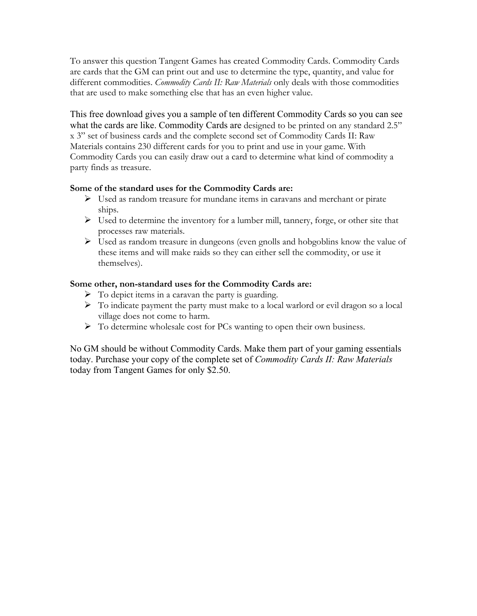To answer this question Tangent Games has created Commodity Cards. Commodity Cards are cards that the GM can print out and use to determine the type, quantity, and value for different commodities. *Commodity Cards II: Raw Materials* only deals with those commodities that are used to make something else that has an even higher value.

This free download gives you a sample of ten different Commodity Cards so you can see what the cards are like. Commodity Cards are designed to be printed on any standard 2.5" x 3" set of business cards and the complete second set of Commodity Cards II: Raw Materials contains 230 different cards for you to print and use in your game. With Commodity Cards you can easily draw out a card to determine what kind of commodity a party finds as treasure.

### **Some of the standard uses for the Commodity Cards are:**

- $\triangleright$  Used as random treasure for mundane items in caravans and merchant or pirate ships.
- $\triangleright$  Used to determine the inventory for a lumber mill, tannery, forge, or other site that processes raw materials.
- $\triangleright$  Used as random treasure in dungeons (even gnolls and hobgoblins know the value of these items and will make raids so they can either sell the commodity, or use it themselves).

## **Some other, non-standard uses for the Commodity Cards are:**

- $\triangleright$  To depict items in a caravan the party is guarding.
- $\triangleright$  To indicate payment the party must make to a local warlord or evil dragon so a local village does not come to harm.
- $\triangleright$  To determine wholesale cost for PCs wanting to open their own business.

No GM should be without Commodity Cards. Make them part of your gaming essentials today. Purchase your copy of the complete set of *Commodity Cards II: Raw Materials* today from Tangent Games for only \$2.50.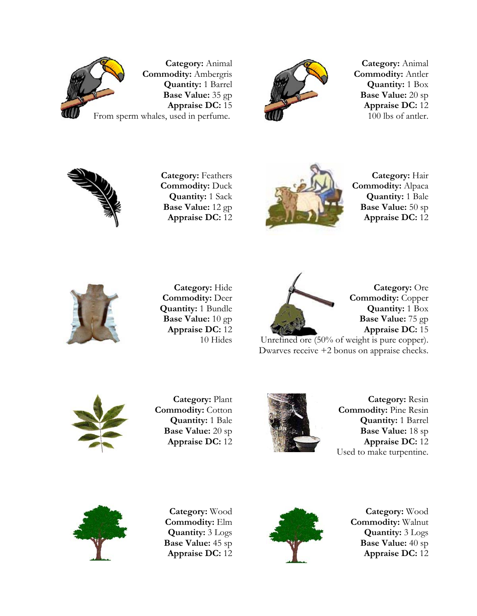

**Category:** Animal **Commodity:** Ambergris **Quantity:** 1 Barrel **Base Value:** 35 gp **Appraise DC:** 15 From sperm whales, used in perfume.



**Category:** Animal **Commodity:** Antler **Quantity:** 1 Box **Base Value:** 20 sp **Appraise DC:** 12 100 lbs of antler.



**Category:** Feathers **Commodity:** Duck **Quantity:** 1 Sack **Base Value:** 12 gp **Appraise DC:** 12



**Category:** Hair **Commodity:** Alpaca **Quantity:** 1 Bale **Base Value:** 50 sp **Appraise DC:** 12



**Category:** Hide **Commodity:** Deer **Quantity:** 1 Bundle **Base Value:** 10 gp **Appraise DC:** 12 10 Hides



**Category:** Ore **Commodity:** Copper **Quantity:** 1 Box **Base Value:** 75 gp **Appraise DC:** 15

Unrefined ore (50% of weight is pure copper). Dwarves receive +2 bonus on appraise checks.



**Category:** Plant **Commodity:** Cotton **Quantity:** 1 Bale **Base Value:** 20 sp **Appraise DC:** 12



**Category:** Resin **Commodity:** Pine Resin **Quantity:** 1 Barrel **Base Value:** 18 sp **Appraise DC:** 12 Used to make turpentine.



**Category:** Wood **Commodity:** Elm **Quantity:** 3 Logs **Base Value:** 45 sp **Appraise DC:** 12



**Category:** Wood **Commodity:** Walnut **Quantity:** 3 Logs **Base Value:** 40 sp **Appraise DC:** 12